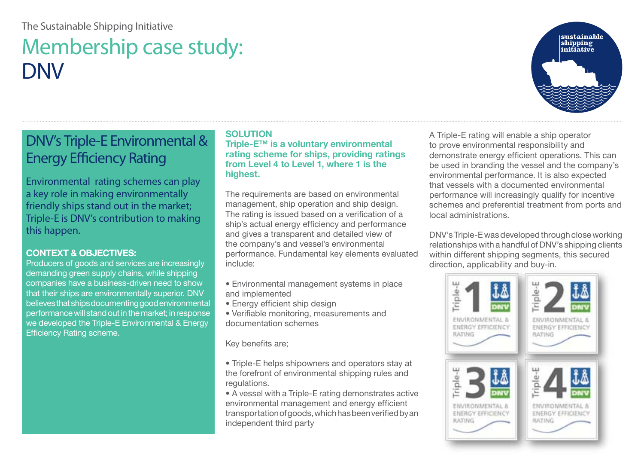#### The Sustainable Shipping Initiative

# Membership case study: DNV

## DNV's Triple-E Environmental & Energy Efficiency Rating

Environmental rating schemes can play a key role in making environmentally friendly ships stand out in the market; Triple-E is DNV's contribution to making this happen.

#### **CONTEXT & OBJECTIVES:**

Producers of goods and services are increasingly demanding green supply chains, while shipping companies have a business-driven need to show that their ships are environmentally superior. DNV believes that ships documenting good environmental performance will stand out in the market; in response we developed the Triple-E Environmental & Energy Efficiency Rating scheme.

#### **SOLUTION**

**Triple-E™ is a voluntary environmental rating scheme for ships, providing ratings from Level 4 to Level 1, where 1 is the highest.** 

The requirements are based on environmental management, ship operation and ship design. The rating is issued based on a verification of a ship's actual energy efficiency and performance and gives a transparent and detailed view of the company's and vessel's environmental performance. Fundamental key elements evaluated include:

- Environmental management systems in place and implemented
- Energy efficient ship design
- Verifiable monitoring, measurements and documentation schemes

Key benefits are;

• Triple-E helps shipowners and operators stay at the forefront of environmental shipping rules and regulations.

• A vessel with a Triple-E rating demonstrates active environmental management and energy efficient transportation of goods, which has been verified by an independent third party

A Triple-E rating will enable a ship operator to prove environmental responsibility and demonstrate energy efficient operations. This can be used in branding the vessel and the company's environmental performance. It is also expected that vessels with a documented environmental performance will increasingly qualify for incentive schemes and preferential treatment from ports and local administrations.

DNV's Triple-E was developed through close working relationships with a handful of DNV's shipping clients within different shipping segments, this secured direction, applicability and buy-in.